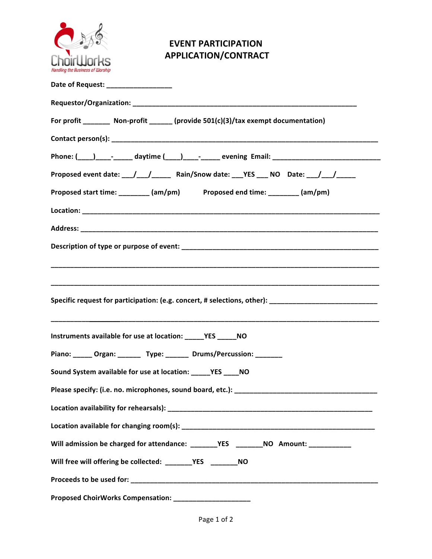

## **EVENT PARTICIPATION APPLICATION/CONTRACT**

| Date of Request: ________________                                                                    |
|------------------------------------------------------------------------------------------------------|
|                                                                                                      |
| For profit ________ Non-profit ______ (provide 501(c)(3)/tax exempt documentation)                   |
|                                                                                                      |
| Phone: (____)____-_______ daytime (____)____-______ evening Email: _________________________________ |
| Proposed event date: __/__/________ Rain/Snow date: ___YES ___ NO Date: __/__/____                   |
| Proposed start time: ________ (am/pm) Proposed end time: ________ (am/pm)                            |
|                                                                                                      |
|                                                                                                      |
|                                                                                                      |
|                                                                                                      |
|                                                                                                      |
| Specific request for participation: (e.g. concert, # selections, other): __________________________  |
|                                                                                                      |
|                                                                                                      |
| Piano: _____ Organ: ______ Type: ______ Drums/Percussion: _______                                    |
| Sound System available for use at location: ______ YES _____ NO                                      |
|                                                                                                      |
|                                                                                                      |
|                                                                                                      |
|                                                                                                      |
| Will free will offering be collected: _______YES ________NO                                          |
|                                                                                                      |
| Proposed ChoirWorks Compensation: ______________________                                             |